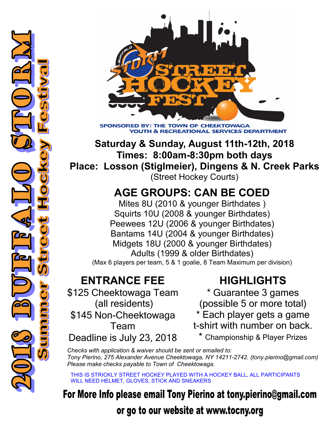

**SPONSORE BY: THE TO WN OF CHEEKTOWAGA DUTH & RECREATIONAL SERVICES DEPARTN** 

**Saturday & Sunday, August 11th-12th, 2018 Times: 8:00am-8:30pm both days Place: Losson (Stiglmeier), Dingens & N. Creek Parks** (Street Hockey Courts)

## **AGE GROUPS: CAN BE COED**

Mites 8U (2010 & younger Birthdates ) Squirts 10U (2008 & younger Birthdates) Peewees 12U (2006 & younger Birthdates) Bantams 14U (2004 & younger Birthdates) Midgets 18U (2000 & younger Birthdates) Adults (1999 & older Birthdates) (Max 6 players per team, 5 & 1 goalie, 8 Team Maximum per division)

## **ENTRANCE FEE**

\$125 Cheektowaga Team (all residents) \$145 Non-Cheektowaga Team Deadline is July 23, 2018

## **HIGHLIGHTS**

\* Guarantee 3 games (possible 5 or more total) \* Each player gets a game t-shirt with number on back.

\* Championship & Player Prizes

*Checks with application & waiver should be sent or emailed to: Tony Pierino, 275 Alexander Avenue Cheektowaga, NY 14211-2742. (tony.pierino@gmail.com) Please make checks payable to Town of Cheektowaga.* 

THIS IS STRICKLY STREET HOCKEY PLAYED WITH A HOCKEY BALL, ALL PARTICIPANTS WILL NEED HELMET, GLOVES, STICK AND SNEAKERS

## For More Info please email Tony Pierino at tony.pierino@gmail.com

or go to our website at www.tocny.org